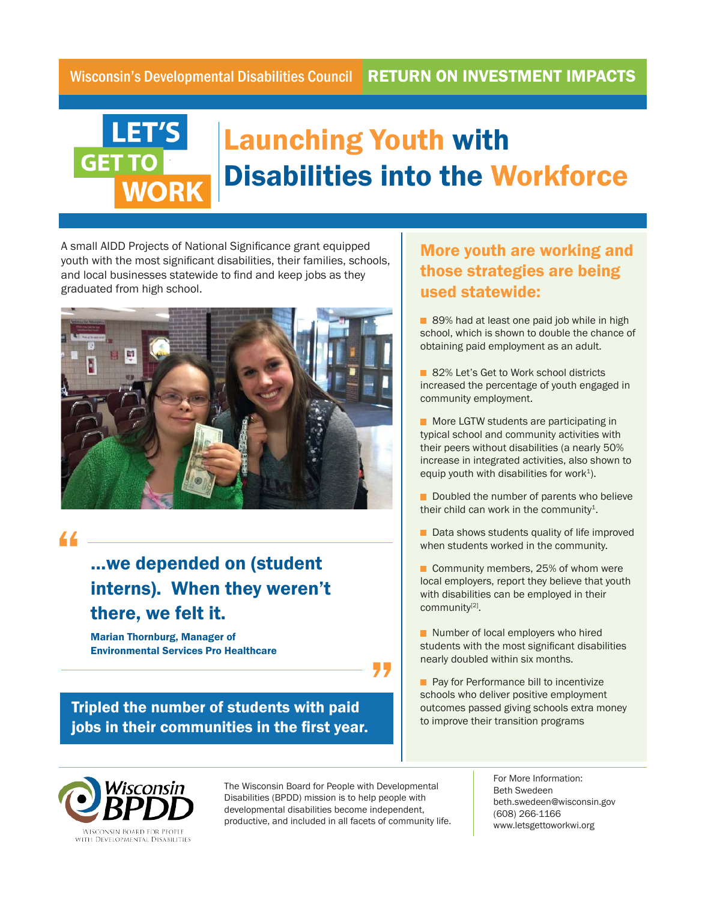

## Launching Youth with Disabilities into the Workforce

A small AIDD Projects of National Significance grant equipped youth with the most significant disabilities, their families, schools, and local businesses statewide to find and keep jobs as they graduated from high school.



"

## …we depended on (student interns). When they weren't there, we felt it.

Marian Thornburg, Manager of Environmental Services Pro Healthcare

Tripled the number of students with paid jobs in their communities in the first year.

## More youth are working and those strategies are being used statewide:

89% had at least one paid job while in high school, which is shown to double the chance of obtaining paid employment as an adult.

82% Let's Get to Work school districts increased the percentage of youth engaged in community employment.

**More LGTW students are participating in** typical school and community activities with their peers without disabilities (a nearly 50% increase in integrated activities, also shown to equip youth with disabilities for work<sup>1</sup>).

Doubled the number of parents who believe their child can work in the community<sup>1</sup>.

Data shows students quality of life improved when students worked in the community.

■ Community members, 25% of whom were local employers, report they believe that youth with disabilities can be employed in their community<sup>[2]</sup>.

Number of local employers who hired students with the most significant disabilities nearly doubled within six months.

**Pay for Performance bill to incentivize** schools who deliver positive employment outcomes passed giving schools extra money to improve their transition programs



The Wisconsin Board for People with Developmental Disabilities (BPDD) mission is to help people with developmental disabilities become independent, productive, and included in all facets of community life.

"

For More Information: Beth Swedeen beth.swedeen@wisconsin.gov (608) 266-1166 www.letsgettoworkwi.org